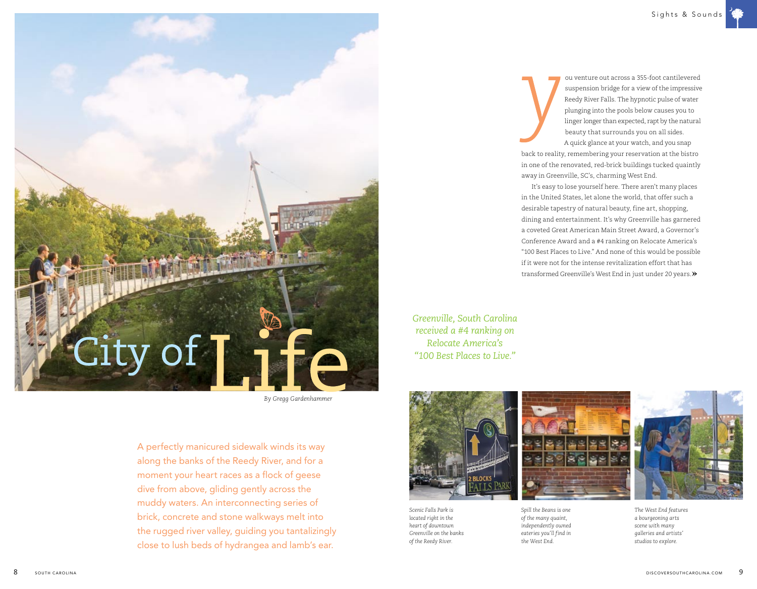

*By Gregg Gardenhammer*

A perfectly manicured sidewalk winds its way along the banks of the Reedy River, and for a moment your heart races as a flock of geese dive from above, gliding gently across the muddy waters. An interconnecting series of brick, concrete and stone walkways melt into the rugged river valley, guiding you tantalizingly close to lush beds of hydrangea and lamb's ear.

 ou venture out across a 355-foot cantilevered suspension bridge for a view of the impressive Reedy River Falls. The hypnotic pulse of water plunging into the pools below causes you to linger longer than expected, rapt by the natural beauty that surrounds you on all sides. A quick glance at your watch, and you snap back to reality, remembering your reservation at the bistro in one of the renovated, red-brick buildings tucked quaintly away in Greenville, SC's, charming West End.

It's easy to lose yourself here. There aren't many places in the United States, let alone the world, that offer such a desirable tapestry of natural beauty, fine art, shopping, dining and entertainment. It's why Greenville has garnered a coveted Great American Main Street Award, a Governor's Conference Award and a #4 ranking on Relocate America's "100 Best Places to Live." And none of this would be possible if it were not for the intense revitalization effort that has transformed Greenville's West End in just under 20 years.

if it were not for the intense r<br>transformed Greenville's Wes<br>Greenville, South Carolina<br>received a #4 ranking on *Greenville, South Carolina received a #4 ranking on Relocate America's "100 Best Places to Live."*



*Scenic Falls Park is located right in the heart of downtown Greenville on the banks of the Reedy River.*



*independently owned eateries you'll find in the West End.*



*The West End features a bourgeoning arts scene with many galleries and artists' studios to explore.*